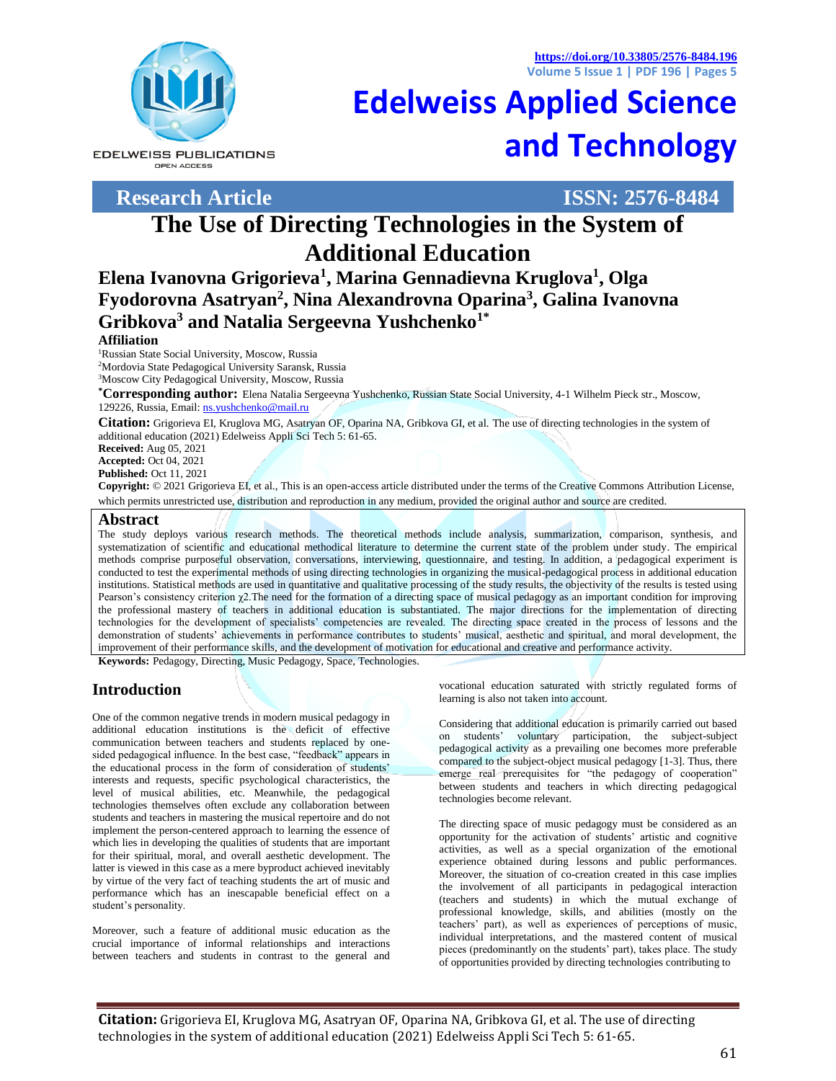**<https://doi.org/10.33805/2576-8484.196> Volume 5 Issue 1 | PDF 196 | Pages 5**



**EDELWEISS PUBLICATIONS** OPEN ACCESS

**Research Article ISSN: 2576-8484**

**[Edelweiss Applied Science](http://edelweisspublications.com/journals/44/Edelweiss-Applied-Science-and-Technology-(ISSN:-2576-8484))  [and Technology](http://edelweisspublications.com/journals/44/Edelweiss-Applied-Science-and-Technology-(ISSN:-2576-8484))**

# **The Use of Directing Technologies in the System of Additional Education**

**Elena Ivanovna Grigorieva<sup>1</sup> , Marina Gennadievna Kruglova<sup>1</sup> , Olga Fyodorovna Asatryan<sup>2</sup> , Nina Alexandrovna Oparina<sup>3</sup> , Galina Ivanovna Gribkova<sup>3</sup> and Natalia Sergeevna Yushchenko1\***

#### **Affiliation**

<sup>1</sup>Russian State Social University, Moscow, Russia <sup>2</sup>Mordovia State Pedagogical University Saransk, Russia <sup>3</sup>Moscow City Pedagogical University, Moscow, Russia

**\*Corresponding author:** Elena Natalia Sergeevna Yushchenko, Russian State Social University, 4-1 Wilhelm Pieck str., Moscow, 129226, Russia, Email[: ns.yushchenko@mail.ru](mailto:ns.yushchenko@mail.ru)

**Citation:** Grigorieva EI, Kruglova MG, Asatryan OF, Oparina NA, Gribkova GI, et al. The use of directing technologies in the system of additional education (2021) Edelweiss Appli Sci Tech 5: 61-65.

**Received:** Aug 05, 2021

**Accepted:** Oct 04, 2021

**Published:** Oct 11, 2021

**Copyright:** © 2021 Grigorieva EI, et al., This is an open-access article distributed under the terms of the Creative Commons Attribution License, which permits unrestricted use, distribution and reproduction in any medium, provided the original author and source are credited.

#### **Abstract**

The study deploys various research methods. The theoretical methods include analysis, summarization, comparison, synthesis, and systematization of scientific and educational methodical literature to determine the current state of the problem under study. The empirical methods comprise purposeful observation, conversations, interviewing, questionnaire, and testing. In addition, a pedagogical experiment is conducted to test the experimental methods of using directing technologies in organizing the musical-pedagogical process in additional education institutions. Statistical methods are used in quantitative and qualitative processing of the study results, the objectivity of the results is tested using Pearson's consistency criterion χ2.The need for the formation of a directing space of musical pedagogy as an important condition for improving the professional mastery of teachers in additional education is substantiated. The major directions for the implementation of directing technologies for the development of specialists' competencies are revealed. The directing space created in the process of lessons and the demonstration of students' achievements in performance contributes to students' musical, aesthetic and spiritual, and moral development, the improvement of their performance skills, and the development of motivation for educational and creative and performance activity.

**Keywords:** Pedagogy, Directing, Music Pedagogy, Space, Technologies.

# **Introduction**

One of the common negative trends in modern musical pedagogy in additional education institutions is the deficit of effective communication between teachers and students replaced by onesided pedagogical influence. In the best case, "feedback" appears in the educational process in the form of consideration of students' interests and requests, specific psychological characteristics, the level of musical abilities, etc. Meanwhile, the pedagogical technologies themselves often exclude any collaboration between students and teachers in mastering the musical repertoire and do not implement the person-centered approach to learning the essence of which lies in developing the qualities of students that are important for their spiritual, moral, and overall aesthetic development. The latter is viewed in this case as a mere byproduct achieved inevitably by virtue of the very fact of teaching students the art of music and performance which has an inescapable beneficial effect on a student's personality.

Moreover, such a feature of additional music education as the crucial importance of informal relationships and interactions between teachers and students in contrast to the general and vocational education saturated with strictly regulated forms of learning is also not taken into account.

Considering that additional education is primarily carried out based on students' voluntary participation, the subject-subject pedagogical activity as a prevailing one becomes more preferable compared to the subject-object musical pedagogy [1-3]. Thus, there emerge real prerequisites for "the pedagogy of cooperation" between students and teachers in which directing pedagogical technologies become relevant.

The directing space of music pedagogy must be considered as an opportunity for the activation of students' artistic and cognitive activities, as well as a special organization of the emotional experience obtained during lessons and public performances. Moreover, the situation of co-creation created in this case implies the involvement of all participants in pedagogical interaction (teachers and students) in which the mutual exchange of professional knowledge, skills, and abilities (mostly on the teachers' part), as well as experiences of perceptions of music, individual interpretations, and the mastered content of musical pieces (predominantly on the students' part), takes place. The study of opportunities provided by directing technologies contributing to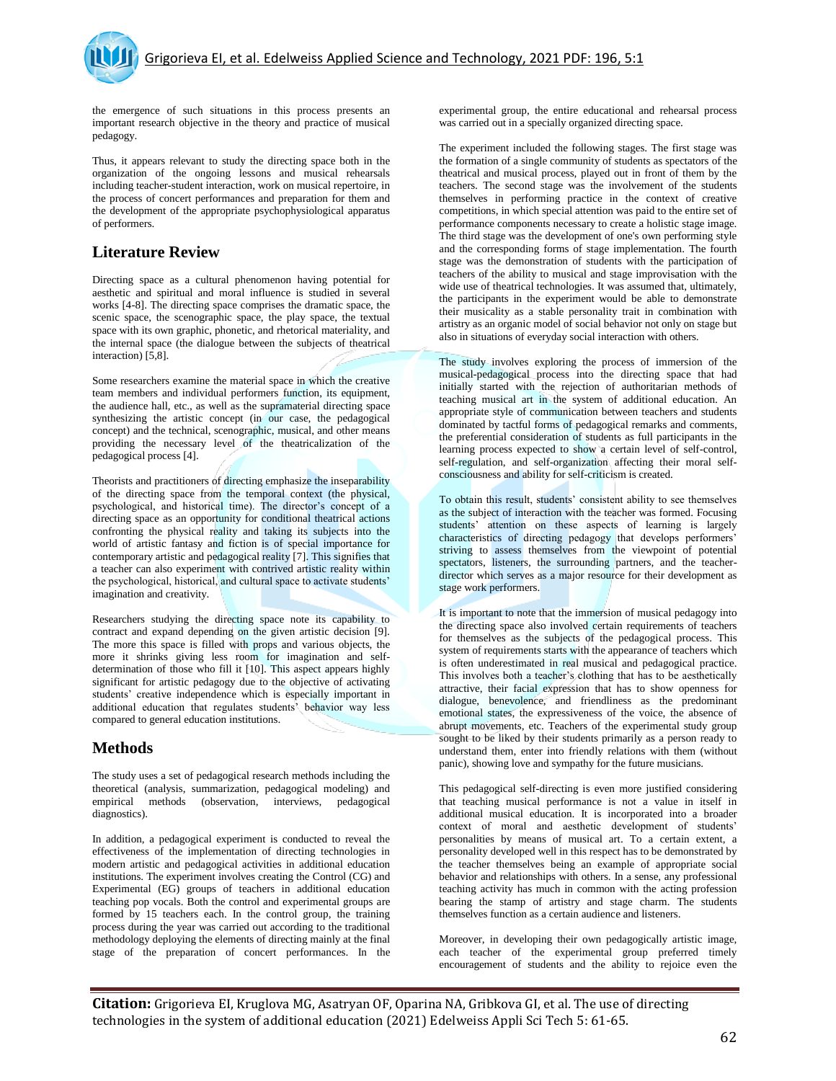the emergence of such situations in this process presents an important research objective in the theory and practice of musical pedagogy.

Thus, it appears relevant to study the directing space both in the organization of the ongoing lessons and musical rehearsals including teacher-student interaction, work on musical repertoire, in the process of concert performances and preparation for them and the development of the appropriate psychophysiological apparatus of performers.

# **Literature Review**

Directing space as a cultural phenomenon having potential for aesthetic and spiritual and moral influence is studied in several works [4-8]. The directing space comprises the dramatic space, the scenic space, the scenographic space, the play space, the textual space with its own graphic, phonetic, and rhetorical materiality, and the internal space (the dialogue between the subjects of theatrical interaction) [5,8].

Some researchers examine the material space in which the creative team members and individual performers function, its equipment, the audience hall, etc., as well as the supramaterial directing space synthesizing the artistic concept (in our case, the pedagogical concept) and the technical, scenographic, musical, and other means providing the necessary level of the theatricalization of the pedagogical process [4].

Theorists and practitioners of directing emphasize the inseparability of the directing space from the temporal context (the physical, psychological, and historical time). The director's concept of a directing space as an opportunity for conditional theatrical actions confronting the physical reality and taking its subjects into the world of artistic fantasy and fiction is of special importance for contemporary artistic and pedagogical reality [7]. This signifies that a teacher can also experiment with contrived artistic reality within the psychological, historical, and cultural space to activate students' imagination and creativity.

Researchers studying the directing space note its capability to contract and expand depending on the given artistic decision [9]. The more this space is filled with props and various objects, the more it shrinks giving less room for imagination and selfdetermination of those who fill it [10]. This aspect appears highly significant for artistic pedagogy due to the objective of activating students' creative independence which is especially important in additional education that regulates students' behavior way less compared to general education institutions.

## **Methods**

The study uses a set of pedagogical research methods including the theoretical (analysis, summarization, pedagogical modeling) and methods (observation, interviews, pedagogical diagnostics).

In addition, a pedagogical experiment is conducted to reveal the effectiveness of the implementation of directing technologies in modern artistic and pedagogical activities in additional education institutions. The experiment involves creating the Control (CG) and Experimental (EG) groups of teachers in additional education teaching pop vocals. Both the control and experimental groups are formed by 15 teachers each. In the control group, the training process during the year was carried out according to the traditional methodology deploying the elements of directing mainly at the final stage of the preparation of concert performances. In the

experimental group, the entire educational and rehearsal process was carried out in a specially organized directing space.

The experiment included the following stages. The first stage was the formation of a single community of students as spectators of the theatrical and musical process, played out in front of them by the teachers. The second stage was the involvement of the students themselves in performing practice in the context of creative competitions, in which special attention was paid to the entire set of performance components necessary to create a holistic stage image. The third stage was the development of one's own performing style and the corresponding forms of stage implementation. The fourth stage was the demonstration of students with the participation of teachers of the ability to musical and stage improvisation with the wide use of theatrical technologies. It was assumed that, ultimately, the participants in the experiment would be able to demonstrate their musicality as a stable personality trait in combination with artistry as an organic model of social behavior not only on stage but also in situations of everyday social interaction with others.

The study involves exploring the process of immersion of the musical-pedagogical process into the directing space that had initially started with the rejection of authoritarian methods of teaching musical art in the system of additional education. An appropriate style of communication between teachers and students dominated by tactful forms of pedagogical remarks and comments, the preferential consideration of students as full participants in the learning process expected to show a certain level of self-control, self-regulation, and self-organization affecting their moral selfconsciousness and ability for self-criticism is created.

To obtain this result, students' consistent ability to see themselves as the subject of interaction with the teacher was formed. Focusing students' attention on these aspects of learning is largely characteristics of directing pedagogy that develops performers' striving to assess themselves from the viewpoint of potential spectators, listeners, the surrounding partners, and the teacherdirector which serves as a major resource for their development as stage work performers.

It is important to note that the immersion of musical pedagogy into the directing space also involved certain requirements of teachers for themselves as the subjects of the pedagogical process. This system of requirements starts with the appearance of teachers which is often underestimated in real musical and pedagogical practice. This involves both a teacher's clothing that has to be aesthetically attractive, their facial expression that has to show openness for dialogue, benevolence, and friendliness as the predominant emotional states, the expressiveness of the voice, the absence of abrupt movements, etc. Teachers of the experimental study group sought to be liked by their students primarily as a person ready to understand them, enter into friendly relations with them (without panic), showing love and sympathy for the future musicians.

This pedagogical self-directing is even more justified considering that teaching musical performance is not a value in itself in additional musical education. It is incorporated into a broader context of moral and aesthetic development of students' personalities by means of musical art. To a certain extent, a personality developed well in this respect has to be demonstrated by the teacher themselves being an example of appropriate social behavior and relationships with others. In a sense, any professional teaching activity has much in common with the acting profession bearing the stamp of artistry and stage charm. The students themselves function as a certain audience and listeners.

Moreover, in developing their own pedagogically artistic image, each teacher of the experimental group preferred timely encouragement of students and the ability to rejoice even the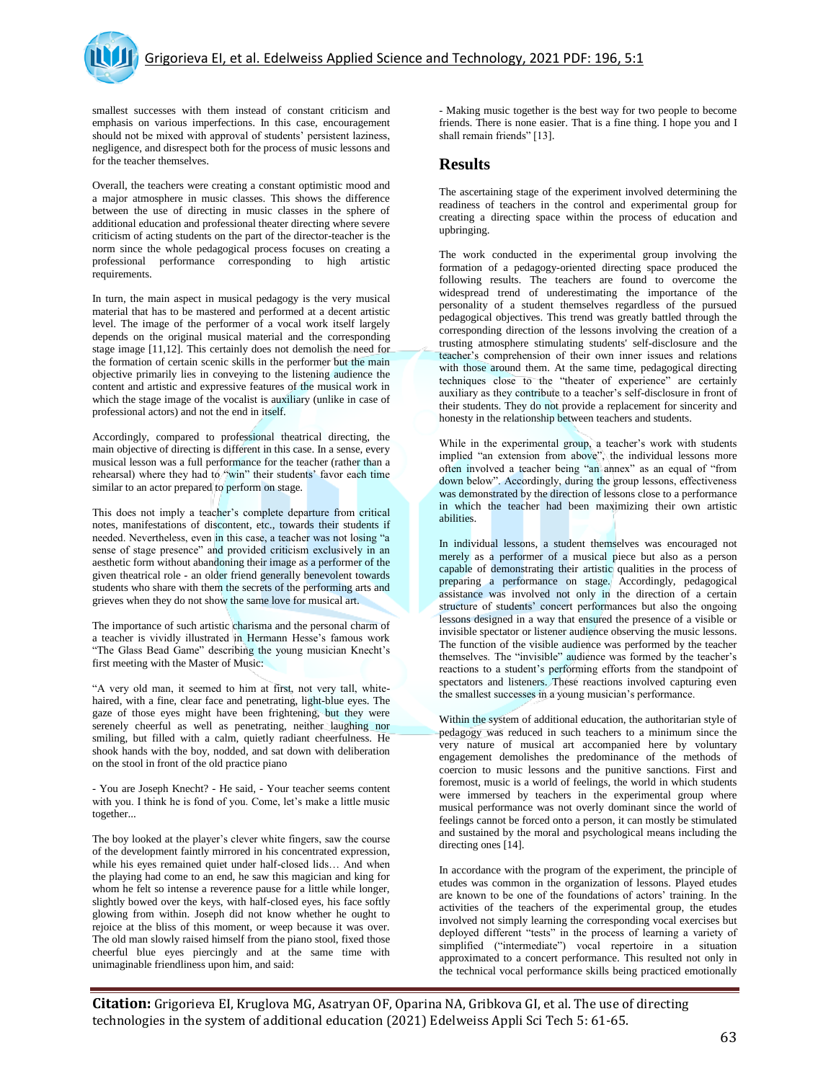smallest successes with them instead of constant criticism and emphasis on various imperfections. In this case, encouragement should not be mixed with approval of students' persistent laziness, negligence, and disrespect both for the process of music lessons and for the teacher themselves.

Overall, the teachers were creating a constant optimistic mood and a major atmosphere in music classes. This shows the difference between the use of directing in music classes in the sphere of additional education and professional theater directing where severe criticism of acting students on the part of the director-teacher is the norm since the whole pedagogical process focuses on creating a professional performance corresponding to high artistic requirements.

In turn, the main aspect in musical pedagogy is the very musical material that has to be mastered and performed at a decent artistic level. The image of the performer of a vocal work itself largely depends on the original musical material and the corresponding stage image [11,12]. This certainly does not demolish the need for the formation of certain scenic skills in the performer but the main objective primarily lies in conveying to the listening audience the content and artistic and expressive features of the musical work in which the stage image of the vocalist is auxiliary (unlike in case of professional actors) and not the end in itself.

Accordingly, compared to professional theatrical directing, the main objective of directing is different in this case. In a sense, every musical lesson was a full performance for the teacher (rather than a rehearsal) where they had to "win" their students' favor each time similar to an actor prepared to perform on stage.

This does not imply a teacher's complete departure from critical notes, manifestations of discontent, etc., towards their students if needed. Nevertheless, even in this case, a teacher was not losing "a sense of stage presence" and provided criticism exclusively in an aesthetic form without abandoning their image as a performer of the given theatrical role - an older friend generally benevolent towards students who share with them the secrets of the performing arts and grieves when they do not show the same love for musical art.

The importance of such artistic charisma and the personal charm of a teacher is vividly illustrated in Hermann Hesse's famous work "The Glass Bead Game" describing the young musician Knecht's first meeting with the Master of Music:

"A very old man, it seemed to him at first, not very tall, whitehaired, with a fine, clear face and penetrating, light-blue eyes. The gaze of those eyes might have been frightening, but they were serenely cheerful as well as penetrating, neither laughing nor smiling, but filled with a calm, quietly radiant cheerfulness. He shook hands with the boy, nodded, and sat down with deliberation on the stool in front of the old practice piano

- You are Joseph Knecht? - He said, - Your teacher seems content with you. I think he is fond of you. Come, let's make a little music together...

The boy looked at the player's clever white fingers, saw the course of the development faintly mirrored in his concentrated expression, while his eyes remained quiet under half-closed lids… And when the playing had come to an end, he saw this magician and king for whom he felt so intense a reverence pause for a little while longer, slightly bowed over the keys, with half-closed eyes, his face softly glowing from within. Joseph did not know whether he ought to rejoice at the bliss of this moment, or weep because it was over. The old man slowly raised himself from the piano stool, fixed those cheerful blue eyes piercingly and at the same time with unimaginable friendliness upon him, and said:

- Making music together is the best way for two people to become friends. There is none easier. That is a fine thing. I hope you and I shall remain friends" [13].

### **Results**

The ascertaining stage of the experiment involved determining the readiness of teachers in the control and experimental group for creating a directing space within the process of education and upbringing.

The work conducted in the experimental group involving the formation of a pedagogy-oriented directing space produced the following results. The teachers are found to overcome the widespread trend of underestimating the importance of the personality of a student themselves regardless of the pursued pedagogical objectives. This trend was greatly battled through the corresponding direction of the lessons involving the creation of a trusting atmosphere stimulating students' self-disclosure and the teacher's comprehension of their own inner issues and relations with those around them. At the same time, pedagogical directing techniques close to the "theater of experience" are certainly auxiliary as they contribute to a teacher's self-disclosure in front of their students. They do not provide a replacement for sincerity and honesty in the relationship between teachers and students.

While in the experimental group, a teacher's work with students implied "an extension from above", the individual lessons more often involved a teacher being "an annex" as an equal of "from down below". Accordingly, during the group lessons, effectiveness was demonstrated by the direction of lessons close to a performance in which the teacher had been maximizing their own artistic abilities.

In individual lessons, a student themselves was encouraged not merely as a performer of a musical piece but also as a person capable of demonstrating their artistic qualities in the process of preparing a performance on stage. Accordingly, pedagogical assistance was involved not only in the direction of a certain structure of students' concert performances but also the ongoing lessons designed in a way that ensured the presence of a visible or invisible spectator or listener audience observing the music lessons. The function of the visible audience was performed by the teacher themselves. The "invisible" audience was formed by the teacher's reactions to a student's performing efforts from the standpoint of spectators and listeners. These reactions involved capturing even the smallest successes in a young musician's performance.

Within the system of additional education, the authoritarian style of pedagogy was reduced in such teachers to a minimum since the very nature of musical art accompanied here by voluntary engagement demolishes the predominance of the methods of coercion to music lessons and the punitive sanctions. First and foremost, music is a world of feelings, the world in which students were immersed by teachers in the experimental group where musical performance was not overly dominant since the world of feelings cannot be forced onto a person, it can mostly be stimulated and sustained by the moral and psychological means including the directing ones [14].

In accordance with the program of the experiment, the principle of etudes was common in the organization of lessons. Played etudes are known to be one of the foundations of actors' training. In the activities of the teachers of the experimental group, the etudes involved not simply learning the corresponding vocal exercises but deployed different "tests" in the process of learning a variety of simplified ("intermediate") vocal repertoire in a situation approximated to a concert performance. This resulted not only in the technical vocal performance skills being practiced emotionally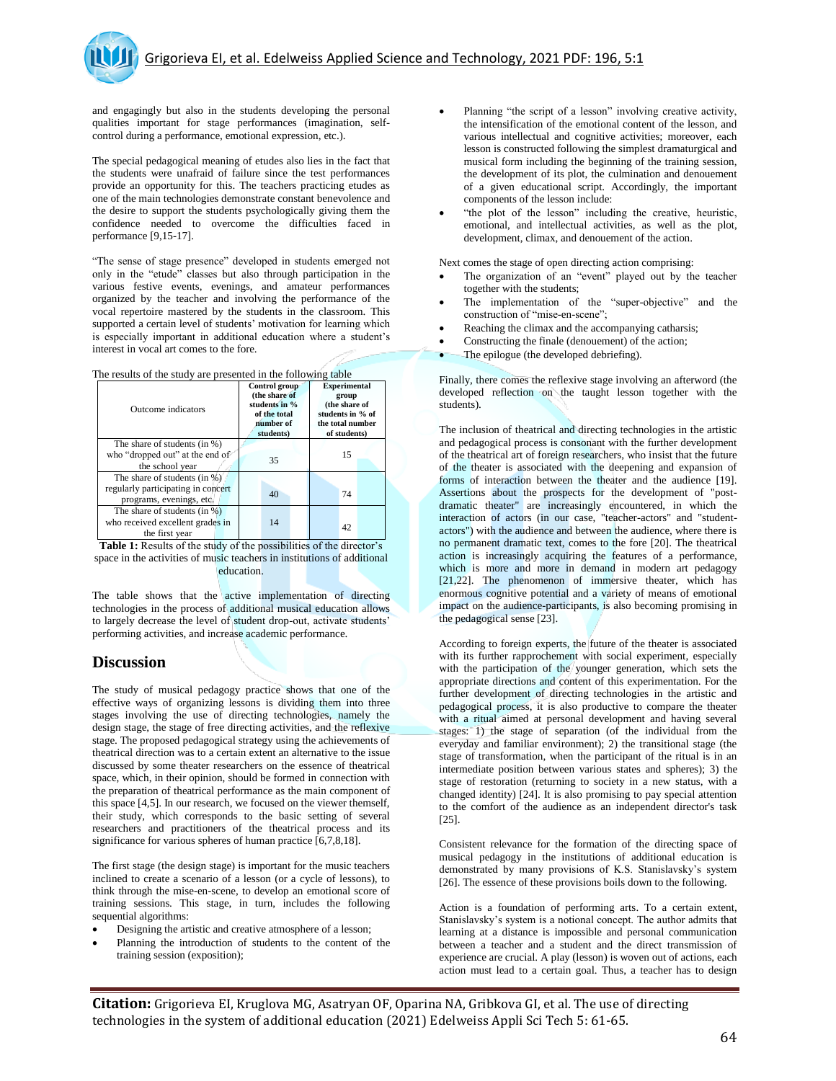and engagingly but also in the students developing the personal qualities important for stage performances (imagination, selfcontrol during a performance, emotional expression, etc.).

The special pedagogical meaning of etudes also lies in the fact that the students were unafraid of failure since the test performances provide an opportunity for this. The teachers practicing etudes as one of the main technologies demonstrate constant benevolence and the desire to support the students psychologically giving them the confidence needed to overcome the difficulties faced in performance [9,15-17].

"The sense of stage presence" developed in students emerged not only in the "etude" classes but also through participation in the various festive events, evenings, and amateur performances organized by the teacher and involving the performance of the vocal repertoire mastered by the students in the classroom. This supported a certain level of students' motivation for learning which is especially important in additional education where a student's interest in vocal art comes to the fore.

|  |  | The results of the study are presented in the following table |  |
|--|--|---------------------------------------------------------------|--|
|--|--|---------------------------------------------------------------|--|

| Outcome indicators                                                                             | Control group<br>(the share of<br>students in %<br>of the total<br>number of<br>students) | <b>Experimental</b><br>group<br>(the share of<br>students in % of<br>the total number<br>of students) |
|------------------------------------------------------------------------------------------------|-------------------------------------------------------------------------------------------|-------------------------------------------------------------------------------------------------------|
| The share of students (in %)<br>who "dropped out" at the end of<br>the school year             | 35                                                                                        | 15                                                                                                    |
| The share of students (in %)<br>regularly participating in concert<br>programs, evenings, etc. | 40                                                                                        | 74                                                                                                    |
| The share of students (in %)<br>who received excellent grades in<br>the first year             | 14                                                                                        | 42                                                                                                    |

Table 1: Results of the study of the possibilities of the director's space in the activities of music teachers in institutions of additional education.

The table shows that the active implementation of directing technologies in the process of additional musical education allows to largely decrease the level of student drop-out, activate students' performing activities, and increase academic performance.

## **Discussion**

The study of musical pedagogy practice shows that one of the effective ways of organizing lessons is dividing them into three stages involving the use of directing technologies, namely the design stage, the stage of free directing activities, and the reflexive stage. The proposed pedagogical strategy using the achievements of theatrical direction was to a certain extent an alternative to the issue discussed by some theater researchers on the essence of theatrical space, which, in their opinion, should be formed in connection with the preparation of theatrical performance as the main component of this space [4,5]. In our research, we focused on the viewer themself, their study, which corresponds to the basic setting of several researchers and practitioners of the theatrical process and its significance for various spheres of human practice [6,7,8,18].

The first stage (the design stage) is important for the music teachers inclined to create a scenario of a lesson (or a cycle of lessons), to think through the mise-en-scene, to develop an emotional score of training sessions. This stage, in turn, includes the following sequential algorithms:

- Designing the artistic and creative atmosphere of a lesson;
- Planning the introduction of students to the content of the training session (exposition);
- Planning "the script of a lesson" involving creative activity, the intensification of the emotional content of the lesson, and various intellectual and cognitive activities; moreover, each lesson is constructed following the simplest dramaturgical and musical form including the beginning of the training session, the development of its plot, the culmination and denouement of a given educational script. Accordingly, the important components of the lesson include:
- "the plot of the lesson" including the creative, heuristic, emotional, and intellectual activities, as well as the plot, development, climax, and denouement of the action.

Next comes the stage of open directing action comprising:

- The organization of an "event" played out by the teacher together with the students;
- The implementation of the "super-objective" and the construction of "mise-en-scene";
- Reaching the climax and the accompanying catharsis;
- Constructing the finale (denouement) of the action;
- The epilogue (the developed debriefing).

Finally, there comes the reflexive stage involving an afterword (the developed reflection on the taught lesson together with the students).

The inclusion of theatrical and directing technologies in the artistic and pedagogical process is consonant with the further development of the theatrical art of foreign researchers, who insist that the future of the theater is associated with the deepening and expansion of forms of interaction between the theater and the audience [19]. Assertions about the prospects for the development of "postdramatic theater" are increasingly encountered, in which the interaction of actors (in our case, "teacher-actors" and "studentactors") with the audience and between the audience, where there is no permanent dramatic text, comes to the fore [20]. The theatrical action is increasingly acquiring the features of a performance, which is more and more in demand in modern art pedagogy [21,22]. The phenomenon of immersive theater, which has enormous cognitive potential and a variety of means of emotional impact on the audience-participants, is also becoming promising in the pedagogical sense [23].

According to foreign experts, the future of the theater is associated with its further rapprochement with social experiment, especially with the participation of the younger generation, which sets the appropriate directions and content of this experimentation. For the further development of directing technologies in the artistic and pedagogical process, it is also productive to compare the theater with a ritual aimed at personal development and having several stages: 1) the stage of separation (of the individual from the everyday and familiar environment); 2) the transitional stage (the stage of transformation, when the participant of the ritual is in an intermediate position between various states and spheres); 3) the stage of restoration (returning to society in a new status, with a changed identity) [24]. It is also promising to pay special attention to the comfort of the audience as an independent director's task [25].

Consistent relevance for the formation of the directing space of musical pedagogy in the institutions of additional education is demonstrated by many provisions of K.S. Stanislavsky's system [26]. The essence of these provisions boils down to the following.

Action is a foundation of performing arts. To a certain extent, Stanislavsky's system is a notional concept. The author admits that learning at a distance is impossible and personal communication between a teacher and a student and the direct transmission of experience are crucial. A play (lesson) is woven out of actions, each action must lead to a certain goal. Thus, a teacher has to design